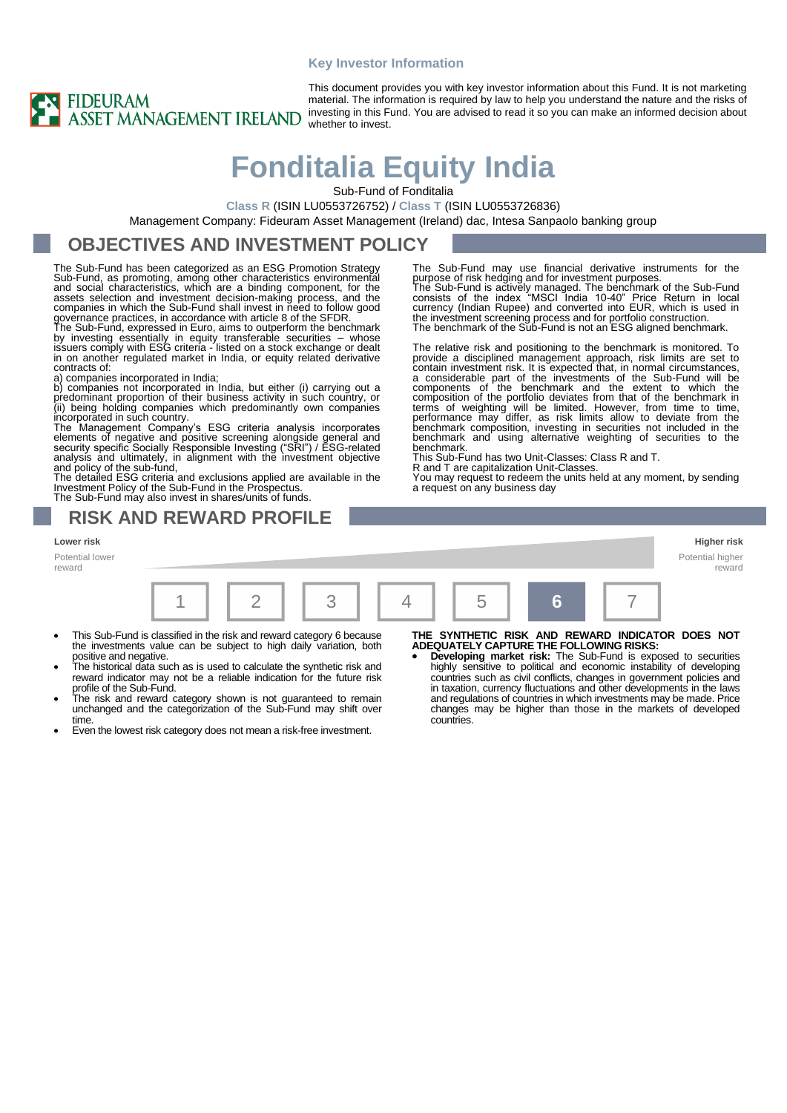#### **Key Investor Information**



This document provides you with key investor information about this Fund. It is not marketing material. The information is required by law to help you understand the nature and the risks of investing in this Fund. You are advised to read it so you can make an informed decision about whether to invest.

# **Fonditalia Equity India**

Sub-Fund of Fonditalia

**Class R** (ISIN LU0553726752) / **Class T** (ISIN LU0553726836)

Management Company: Fideuram Asset Management (Ireland) dac, Intesa Sanpaolo banking group

### **OBJECTIVES AND INVESTMENT POLICY**

The Sub-Fund has been categorized as an ESG Promotion Strategy Sub-Fund, as promoting, among other characteristics environmental<br>and social characteristics, which are a binding component, for the<br>assets selection and investment decision-making process, and the<br>companies in which the S governance practices, in accordance with article 8 of the SFDR.

The Sub-Fund, expressed in Euro, aims to outperform the benchmark<br>by investing essentially in equity transferable securities – whose<br>issuers comply with ESG criteria - listed on a stock exchange or dealt<br>in on another regu contracts of:

a) companies incorporated in India; b) companies not incorporated in India, but either (i) carrying out a predominant proportion of their business activity in such country, or

(ii) being holding companies which predominantly own companies<br>incorporated in such country.<br>The Management Company's ESG criteria analysis incorporates<br>elements of negative and positive screening alongside general and<br>sec and policy of the sub-fund,

The detailed ESG criteria and exclusions applied are available in the Investment Policy of the Sub-Fund in the Prospectus. The Sub-Fund may also invest in shares/units of funds.

**RISK AND REWARD PROFILE**

The Sub-Fund may use financial derivative instruments for the purpose of risk hedging and for investment purposes.<br>The Sub-Fund is actively managed. The benchmark of the Sub-Fund<br>consists of the index "MSCI India 10-40" Price Return in local<br>currency (Indian Rupee) and converted into the investment screening process and for portfolio construction. The benchmark of the Sub-Fund is not an ESG aligned benchmark.

The relative risk and positioning to the benchmark is monitored. To provide a disciplined management approach, risk limits are set to contain investment risk. It is expected that, in normal circumstances, a considerable part of the investments of the Sub-Fund will be components of the benchmark and the extent to which the composition of the portfolio deviates from that of the benchmark in terms of weighting will be limited. benchmark.

This Sub-Fund has two Unit-Classes: Class R and T. R and T are capitalization Unit-Classes.

You may request to redeem the units held at any moment, by sending a request on any business day



- This Sub-Fund is classified in the risk and reward category 6 because the investments value can be subject to high daily variation, both positive and negative.
- The historical data such as is used to calculate the synthetic risk and reward indicator may not be a reliable indication for the future risk profile of the Sub-Fund.
- The risk and reward category shown is not guaranteed to remain unchanged and the categorization of the Sub-Fund may shift over time.
- Even the lowest risk category does not mean a risk-free investment.

**THE SYNTHETIC RISK AND REWARD INDICATOR DOES NOT ADEQUATELY CAPTURE THE FOLLOWING RISKS:**

• **Developing market risk:** The Sub-Fund is exposed to securities highly sensitive to political and economic instability of developing countries such as civil conflicts, changes in government policies and in taxation, currency fluctuations and other developments in the laws and regulations of countries in which investments may be made. Price changes may be higher than those in the markets of developed countries.